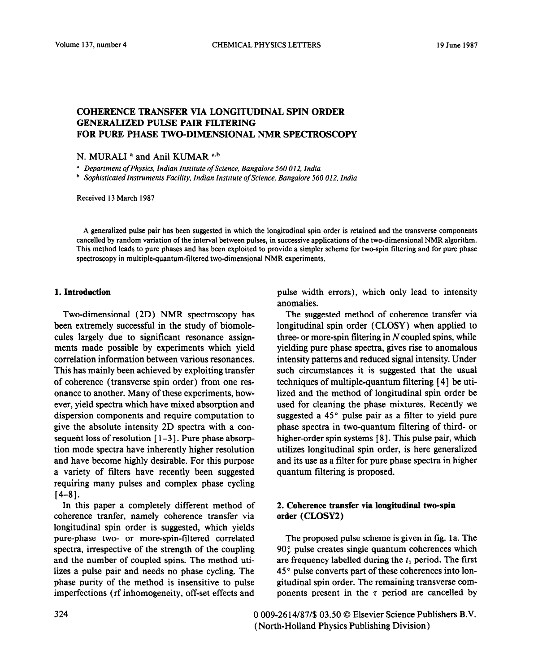# COHERENCE TRANSFER VIA LONGITUDINAL SPIN ORDER GENERALIZED PULSE PAIR FILTERING FOR PURE PHASE TWO-DIMENSIONAL NMR SPECTROSCOPY

### N. MURALI<sup>a</sup> and Anil KUMAR<sup>a,b</sup>

a *Department of Physics, Indian Institute of Science, Bangalore 560 012, India* 

*b Sophisticated Instruments Facility, Indian Institute of Science, Bangalore 560 012, India* 

Received 13 March 1987

A generalized pulse pair has been suggested in which the longitudinal spin order is retained and the transverse components cancelled by random variation of the interval between pulses, in successive applications of the two-dimensional NMR algorithm. This method leads to pure phases and has been exploited to provide a simpler scheme for two-spin filtering and for pure phase spectroscopy in multiple-quantum-filtered two-dimensional NMR experiments.

#### 1. Introduction

Two-dimensional (2D) NMR spectroscopy has been extremely successful in the study of biomolecules largely due to significant resonance assignments made possible by experiments which yield correlation information between various resonances. This has mainly been achieved by exploiting transfer of coherence (transverse spin order) from one resonance to another. Many of these experiments, however, yield spectra which have mixed absorption and dispersion components and require computation to give the absolute intensity 2D spectra with a consequent loss of resolution  $[1-3]$ . Pure phase absorption mode spectra have inherently higher resolution and have become highly desirable. For this purpose a variety of filters have recently been suggested requiring many pulses and complex phase cycling  $[4-8]$ .

In this paper a completely different method of coherence tranfer, namely coherence transfer via longitudinal spin order is suggested, which yields pure-phase two- or more-spin-filtered correlated spectra, irrespective of the strength of the coupling and the number of coupled spins. The method utilizes a pulse pair and needs no phase cycling. The phase purity of the method is insensitive to pulse imperfections (rf inhomogeneity, off-set effects and

pulse width errors), which only lead to intensity anomalies.

The suggested method of coherence transfer via longitudinal spin order (CLOSY) when applied to three- or more-spin filtering in  $N$  coupled spins, while yielding pure phase spectra, gives rise to anomalous intensity patterns and reduced signal intensity. Under such circumstances it is suggested that the usual techniques of multiple-quantum filtering [ 41 be utilized and the method of longitudinal spin order be used for cleaning the phase mixtures. Recently we suggested a  $45^\circ$  pulse pair as a filter to yield pure phase spectra in two-quantum filtering of third- or higher-order spin systems [8]. This pulse pair, which utilizes longitudinal spin order, is here generalized and its use as a filter for pure phase spectra in higher quantum filtering is proposed.

## *2.* Coherence transfer via longitudinal two-spin order (CLOSYZ)

The proposed pulse scheme is given in fig. 1a. The  $90^\circ$  pulse creates single quantum coherences which are frequency labelled during the  $t_1$  period. The first 45 ' pulse converts part of these coherences into longitudinal spin order. The remaining transverse components present in the  $\tau$  period are cancelled by

324 0 009-26 14/87/\$ 03.50 0 Elsevier Science Publishers B.V. (North-Holland Physics Publishing Division)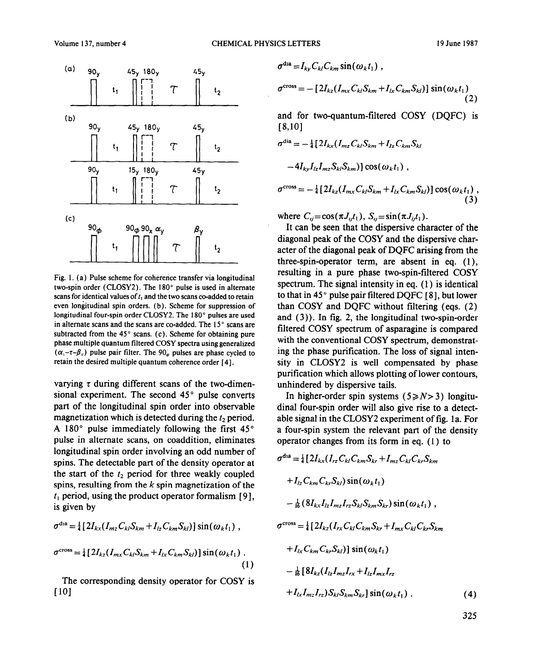$\mathcal{E}$ 



Fig. 1. (a) Pulse scheme for coherence transfer via longitudinal two-spin order (CLOSY2). The 180° pulse is used in alternate scans for identical values of  $t_1$  and the two scans co-added to retain even longitudinal spin orders. (b). Scheme for suppression of longitudinal four-spin order CLOSYZ. The 180" **pulses** are used in alternate scans and the scans are co-added. The  $15^\circ$  scans are subtracted from the  $45^\circ$  scans. (c). Scheme for obtaining pure phase multiple quantum filtered COSY spectra using generalized  $(\alpha_1 - \tau - \beta_1)$  pulse pair filter. The 90, pulses are phase cycled to retain the desired multiple quantum coherence order [4].

varying  $\tau$  during different scans of the two-dimensional experiment. The second  $45^{\circ}$  pulse converts part of the longitudinal spin order into observable magnetization which is detected during the  $t_2$  period. A 180 $^{\circ}$  pulse immediately following the first 45 $^{\circ}$ pulse in alternate scans, on coaddition, eliminates longitudinal spin order involving an odd number of spins. The detectable part of the density operator at the start of the  $t_2$  period for three weakly coupled spins, resulting from the *k* spin magnetization of the  $t<sub>1</sub>$  period, using the product operator formalism  $[9]$ , is given by

$$
\sigma^{\text{cross}} = \frac{1}{4} \left[ 2I_{kx} (I_{mz} C_{kl} S_{km} + I_{lz} C_{km} S_{kl}) \right] \sin(\omega_k t_1), \qquad \sigma^{\text{cross}} = \frac{1}{4} \left[ 2I_{kz} (I_{rx} C_{kl} C_{km} S_{kr} + I_{mx} C_{kl} C_{kr} S_{kl}) \right]
$$

$$
\sigma^{\text{cross}} = \frac{1}{4} \left[ 2I_{kz} (I_{mx} C_{kl} S_{km} + I_{lx} C_{km} S_{kl}) \right] \sin(\omega_k t_1) + I_{lx} C_{km} C_{kr} S_{kl} \right) \left[ \sin(\omega_k t_1) \right]
$$

$$
(1)
$$

المراهر

 $1 - 2$ 

The corresponding density operator for COSY is [ 101

$$
\sigma^{\text{cross}} = -[2I_{kz}(I_{mx}C_{kl}S_{km} + I_{lx}C_{km}S_{kl})]\sin(\omega_k t_1)
$$
\n(2)

and for two-quantum-filtered COSY (DQFC) is  $[8,10]$ 

$$
\sigma^{\text{dia}} = -\frac{1}{4} \left[ 2I_{kx} (I_{mz} C_{kl} S_{km} + I_{lz} C_{km} S_{kl} \right]
$$

 $\tau$ dia  $I \cap C$  sin(w t)

 $-4I_{kv}I_{iz}I_{mz}S_{ki}S_{km})\cos(\omega_k t_1)$ ,

$$
\sigma^{\rm cross} = -\frac{1}{4} \left[ 2I_{kz} (I_{mx} C_{kl} S_{km} + I_{lx} C_{km} S_{kl}) \right] \cos(\omega_k t_1) ,
$$
\n(3)

where  $C_{ij} = \cos(\pi J_{ij}t_1), S_{ij} = \sin(\pi J_{ij}t_1).$ 

It can be seen that the dispersive character of the diagonal peak of the COSY and the dispersive character of the diagonal peak of DQFC arising from the three-spin-operator term, are absent in eq. (l), resulting in a pure phase two-spin-filtered COSY spectrum. The signal intensity in eq. (1) is identical to that in 45 $^{\circ}$  pulse pair filtered DQFC [8], but lower than COSY and DQFC without filtering (eqs. (2) and (3)). In fig. 2, the longitudinal two-spin-order filtered COSY spectrum of asparagine is compared with the conventional COSY spectrum, demonstrating the phase purification. The loss of signal intensity in CLOSY2 is well compensated by phase purification which allows plotting of lower contours, unhindered by dispersive tails.

In higher-order spin systems  $(5 \ge N > 3)$  longitudinal four-spin order will also give rise to a detectable signal in the CLOSY2 experiment of fig. 1a. For a four-spin system the relevant part of the density operator changes from its form in eq. (1) to

$$
\sigma^{\text{dia}} = \frac{1}{4} \left[ 2I_{kx} (I_{rz} C_{kl} C_{km} S_{kr} + I_{mz} C_{kl} C_{kr} S_{km} + I_{lz} C_{km} C_{kr} S_{kl} \right] \sin(\omega_k t_1) \n- \frac{1}{16} \left( 8I_{kx} I_{lz} I_{mz} I_{rz} S_{kl} S_{km} S_{kr} \right) \sin(\omega_k t_1) , \n\sigma^{\text{cross}} = \frac{1}{4} \left[ 2I_{kz} (I_{rx} C_{kl} C_{km} S_{kr} + I_{mx} C_{kl} C_{kr} S_{km} + I_{lx} C_{km} C_{kr} S_{kl} \right] \sin(\omega_k t_1) \n- \frac{1}{16} \left[ 8I_{kz} (I_{lz} I_{mz} I_{rx} + I_{lz} I_{mx} I_{rz} + I_{lx} I_{mx} I_{rz} + I_{lx} I_{mr} I_{rz} \right] + I_{lx} I_{mz} I_{rz} S_{kl} S_{km} S_{kr} \right] \sin(\omega_k t_1) .
$$
\n(4)

325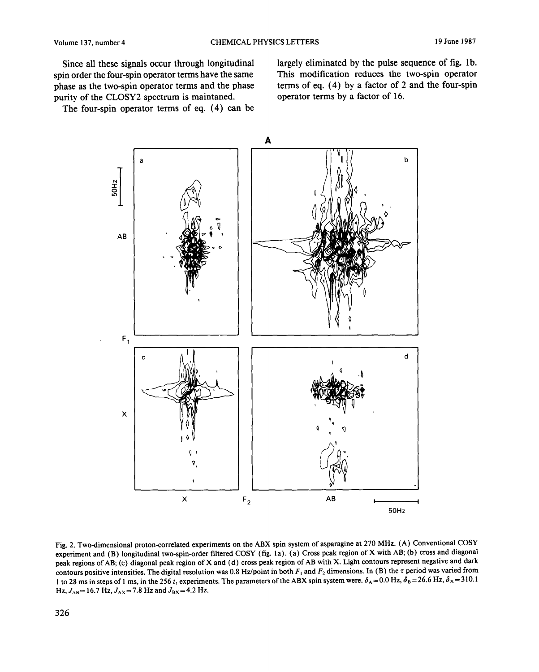Since all these signals occur through longitudinal spin order the four-spin operator terms have the same phase as the two-spin operator terms and the phase purity of the CLOSY2 spectrum is maintaned.

The four-spin operator terms of eq. (4) can be

largely eliminated by the pulse sequence of fig. lb. This modification reduces the two-spin operator terms of eq. (4) by a factor of 2 and the four-spin operator terms by a factor of 16.



Fig. 2. Two-dimensional proton-correlated experiments on the ABX spin system of asparagine at 270 MHz. (A) Conventional **COSY**  experiment and (B) longitudinal two-spin-order filtered COSY (fig. la). (a) Cross peak region of X with AB; (b) cross and diagonal peak regions of AB; (c) diagonal peak region of X and (d) cross peak region of AB with X. Light contours represent negative and dark contours positive intensities. The digital resolution was 0.8 Hz/point in both  $F_1$  and  $F_2$  dimensions. In (B) the  $\tau$  period was varied from 1 to 28 ms in steps of 1 ms, in the 256 t<sub>1</sub> experiments. The parameters of the ABX spin system were.  $\delta_A = 0.0$  Hz,  $\delta_B = 26.6$  Hz,  $\delta_X = 310.1$  $Hz, J_{AB} = 16.7 \text{ Hz}, J_{AX} = 7.8 \text{ Hz} \text{ and } J_{BX} = 4.2 \text{ Hz}.$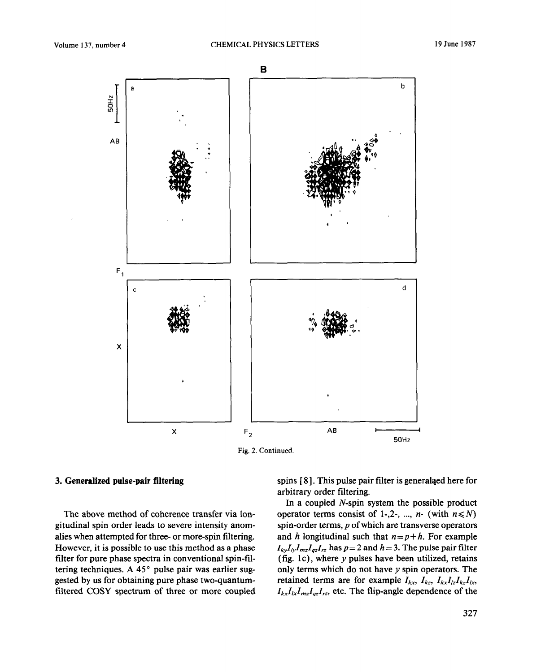N i%



Fig. 2. Continued.

## **3. Generalized pulse-pair filtering**

The above method of coherence transfer via longitudinal spin order leads to severe intensity anomalies when attempted for three- or more-spin filtering. However, it is possible to use this method as a phase filter for pure phase spectra in conventional spin-filtering techniques. A 45° pulse pair was earlier suggested by us for obtaining pure phase two-quantumfiltered COSY spectrum of three or more coupled spins [8]. This pulse pair filter is general and here for arbitrary order filtering.

In a coupled N-spin system the possible product operator terms consist of 1-,2-, ..., *n*- (with  $n \le N$ ) spin-order terms,  $p$  of which are transverse operators and h longitudinal such that  $n = p + h$ . For example  $I_{ky}I_{ly}I_{mz}I_{gz}I_{rz}$  has  $p=2$  and  $h=3$ . The pulse pair filter (fig. 1c), where  $y$  pulses have been utilized, retains only terms which do not have  $y$  spin operators. The retained terms are for example  $I_{kx}$ ,  $I_{kz}$ ,  $I_{kx}I_{lz}I_{kz}I_{lx}$ ,  $I_{kx}I_{lx}I_{mz}I_{qz}I_{rz}$ , etc. The flip-angle dependence of the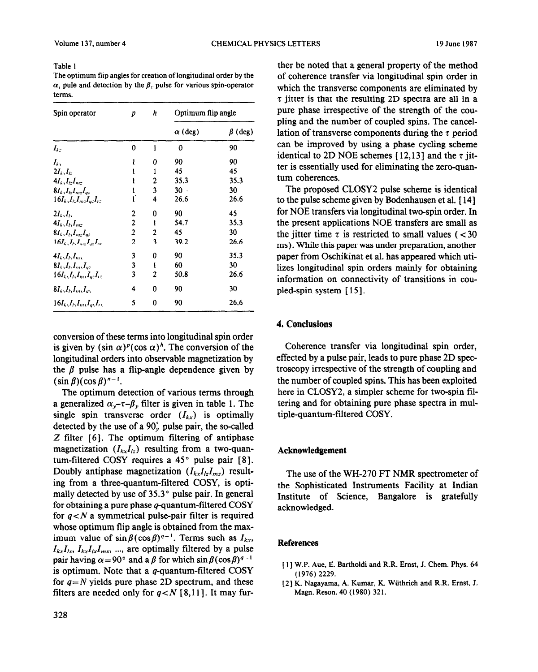### Table 1

The optimum flip angles for creation of longitudinal order by the  $\alpha$ , pule and detection by the  $\beta$ , pulse for various spin-operator terms.

| Spin operator                                 | р              | h | Optimum flip angle |               |
|-----------------------------------------------|----------------|---|--------------------|---------------|
|                                               |                |   | $\alpha$ (deg)     | $\beta$ (deg) |
| $I_{kz}$                                      | 0              | I | 0                  | 90            |
| $I_{k_{\lambda}}$                             | 1              | 0 | 90                 | 90            |
| $2I_k$ , $I_k$                                | ı              | 1 | 45                 | 45            |
| $4I_k, I_l, I_{m+1}$                          | ı              | 2 | 35.3               | 35.3          |
| $8I_k$ , $I_t$ , $I_m$ , $I_m$                | ı              | 3 | $30 -$             | 30            |
| $16I_k, I_l, I_{m}, I_{m}, I_{r}$             | ř              | 4 | 26.6               | 26.6          |
| $2I_k,I_k$                                    | 2              | 0 | 90                 | 45            |
| $4I_k, I_l, I_{mc}$                           | 2              | 1 | 54.7               | 35.3          |
| $8I_k$ , $I_l$ , $I_{mr}$ $I_{az}$            | 2              | 2 | 45                 | 30            |
| $16I_k$ , $I_k$ , $I_{mz}$ , $I_a$ , $I_{rz}$ | $\overline{2}$ | 3 | 39.2               | 26.6          |
| $4I_k, I_l, I_m$                              | 3              | 0 | 90                 | 35.3          |
| $8I_L,I_L,I_m,I_m$                            | 3              | 1 | 60                 | 30            |
| $16I_k$ , $I_l$ , $I_m$ , $I_{az}$ , $I_z$    | 3              | 2 | 50.8               | 26.6          |
| $8I_k,I_l,I_m,I_m$                            | 4              | 0 | 90                 | 30            |
| $16I_k$ , $I_l$ , $I_m$ , $I_n$ , $I_n$       | 5              | 0 | 90                 | 26.6          |

conversion of these terms into longitudinal spin order is given by  $(\sin \alpha)^p(\cos \alpha)^h$ . The conversion of the longitudinal orders into observable magnetization by the  $\beta$  pulse has a flip-angle dependence given by  $(\sin \beta)(\cos \beta)^{n-1}$ .

The optimum detection of various terms through a generalized  $\alpha_{\nu}$ - $\tau$ - $\beta_{\nu}$  filter is given in table 1. The single spin transverse order  $(I_{kx})$  is optimally detected by the use of a  $90<sub>v</sub>$  pulse pair, the so-called  $Z$  filter  $[6]$ . The optimum filtering of antiphase magnetization  $(I_{kx}I_{tz})$  resulting from a two-quantum-filtered COSY requires a  $45^{\circ}$  pulse pair [8]. Doubly antiphase magnetization  $(I_{kx}I_{lz}I_{mz})$  resulting from a three-quantum-filtered COSY, is optimally detected by use of  $35.3^{\circ}$  pulse pair. In general for obtaining a pure phase  $q$ -quantum-filtered COSY for  $q < N$  a symmetrical pulse-pair filter is required whose optimum flip angle is obtained from the maximum value of  $\sin \beta (\cos \beta)^{q-1}$ . Terms such as  $I_{kx}$ ,  $I_{kx}I_{lx}, I_{kx}I_{l}I_{lx}I_{m}$ , ..., are optimally filtered by a pulse pair having  $\alpha = 90^\circ$  and a  $\beta$  for which  $\sin \beta(\cos \beta)^{q-1}$ is optimum. Note that a  $q$ -quantum-filtered COSY for  $q = N$  yields pure phase 2D spectrum, and these filters are needed only for  $q < N$  [8,11]. It may fur-

ther be noted that a general property of the method of coherence transfer via longitudinal spin order in which the transverse components are eliminated by  $\tau$  jitter is that the resulting 2D spectra are all in a pure phase irrespective of the strength of the coupling and the number of coupled spins. The cancellation of transverse components during the *7* period can be improved by using a phase cycling scheme identical to 2D NOE schemes [12,13] and the  $\tau$  jitter is essentially used for eliminating the zero-quantum coherences.

The proposed CLOSY2 pulse scheme is identical to the pulse scheme given by Bodenhausen et al. [ 141 for NOE transfers via longitudinal two-spin order. In the present applications NOE transfers are small as the jitter time  $\tau$  is restricted to small values ( < 30 ms). While this paper was under preparation, another paper from Oschikinat et al. has appeared which utilizes longitudinal spin orders mainly for obtaining information on connectivity of transitions in coupled-spin system [15].

# 4. **Conclusions**

Coherence transfer via longitudinal spin order, effected by a pulse pair, leads to pure phase 2D spectroscopy irrespective of the strength of coupling and the number of coupled spins. This has been exploited here in CLOSY2, a simpler scheme for two-spin filtering and for obtaining pure phase spectra in multiple-quantum-filtered COSY.

### Acknowledgement

The use of the WH-270 ET NMR spectrometer of the Sophisticated Instruments Facility at Indian Institute of Science, Bangalore is gratefully acknowledged.

### **References**

- [ 11 W.P. Aue, E. BarthoIdi and R.R. Ernst, J. Chem. Phys. 64 (1976) 2229.
- [Z] K. Nagayama, A. Kumar, K. Wiithrich and R.R. Ernst, J. Magn. Reson. 40 (1980) 321.